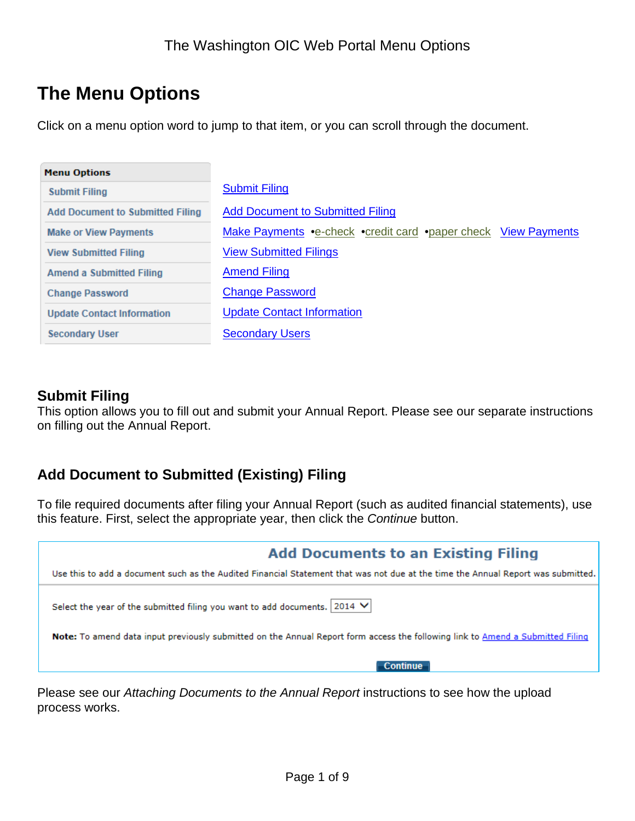# **The Menu Options**

Click on a menu option word to jump to that item, or you can scroll through the document.

| <b>Menu Options</b>                     |                                                                |
|-----------------------------------------|----------------------------------------------------------------|
| <b>Submit Filing</b>                    | <b>Submit Filing</b>                                           |
| <b>Add Document to Submitted Filing</b> | <b>Add Document to Submitted Filing</b>                        |
| <b>Make or View Payments</b>            | Make Payments •e-check •credit card •paper check View Payments |
| <b>View Submitted Filing</b>            | <b>View Submitted Filings</b>                                  |
| <b>Amend a Submitted Filing</b>         | <b>Amend Filing</b>                                            |
| <b>Change Password</b>                  | <b>Change Password</b>                                         |
| <b>Update Contact Information</b>       | <b>Update Contact Information</b>                              |
| <b>Secondary User</b>                   | <b>Secondary Users</b>                                         |

### <span id="page-0-0"></span>**Submit Filing**

<span id="page-0-2"></span>This option allows you to fill out and submit your Annual Report. Please see our separate instructions on filling out the Annual Report.

# <span id="page-0-1"></span>**Add Document to Submitted (Existing) Filing**

To file required documents after filing your Annual Report (such as audited financial statements), use this feature. First, select the appropriate year, then click the *Continue* button.

| <b>Add Documents to an Existing Filing</b>                                                                                            |
|---------------------------------------------------------------------------------------------------------------------------------------|
| Use this to add a document such as the Audited Financial Statement that was not due at the time the Annual Report was submitted.      |
| Select the year of the submitted filing you want to add documents. 2014 V                                                             |
| <b>Note:</b> To amend data input previously submitted on the Annual Report form access the following link to Amend a Submitted Filing |
| <b>Continue</b>                                                                                                                       |

Please see our *Attaching Documents to the Annual Report* instructions to see how the upload process works.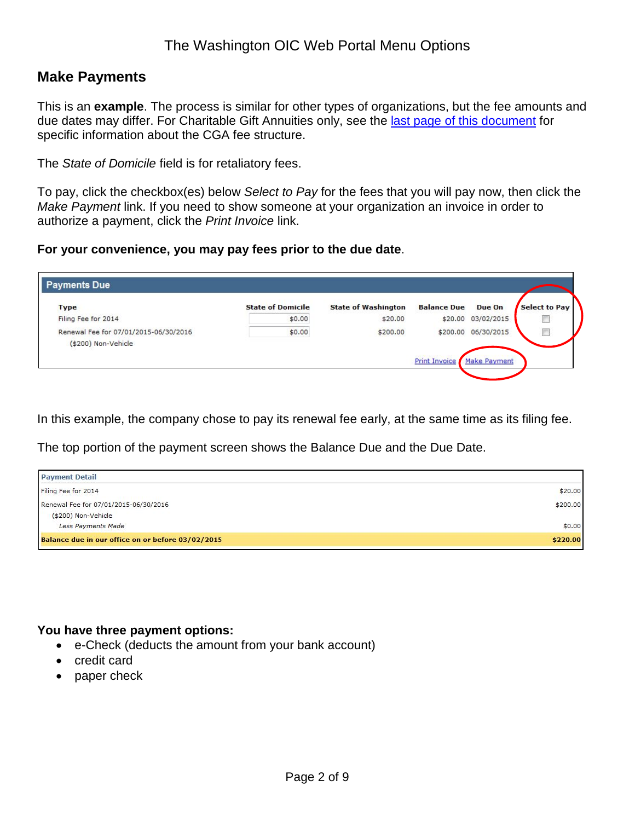### The Washington OIC Web Portal Menu Options

### **Make Payments**

This is an **example**. The process is similar for other types of organizations, but the fee amounts and due dates may differ. For Charitable Gift Annuities only, see the [last page of this document](#page-8-0) for specific information about the CGA fee structure.

The *State of Domicile* field is for retaliatory fees.

To pay, click the checkbox(es) below *Select to Pay* for the fees that you will pay now, then click the *Make Payment* link. If you need to show someone at your organization an invoice in order to authorize a payment, click the *Print Invoice* link.

#### **For your convenience, you may pay fees prior to the due date**.

| <b>Type</b>                                                  | <b>State of Domicile</b> | <b>State of Washington</b> | <b>Balance Due</b> | Due On              | <b>Select to Pay</b> |
|--------------------------------------------------------------|--------------------------|----------------------------|--------------------|---------------------|----------------------|
| Filing Fee for 2014                                          | \$0.00                   | \$20.00                    |                    | \$20.00 03/02/2015  | F                    |
| Renewal Fee for 07/01/2015-06/30/2016<br>(\$200) Non-Vehicle | \$0.00                   | \$200.00                   |                    | \$200.00 06/30/2015 | E                    |

In this example, the company chose to pay its renewal fee early, at the same time as its filing fee.

The top portion of the payment screen shows the Balance Due and the Due Date.

| <b>Payment Detail</b>                             |          |
|---------------------------------------------------|----------|
| Filing Fee for 2014                               | \$20.00  |
| Renewal Fee for 07/01/2015-06/30/2016             | \$200.00 |
| (\$200) Non-Vehicle                               |          |
| Less Payments Made                                | \$0.00   |
| Balance due in our office on or before 03/02/2015 | \$220.00 |

#### **You have three payment options:**

- e-Check (deducts the amount from your bank account)
- credit card
- paper check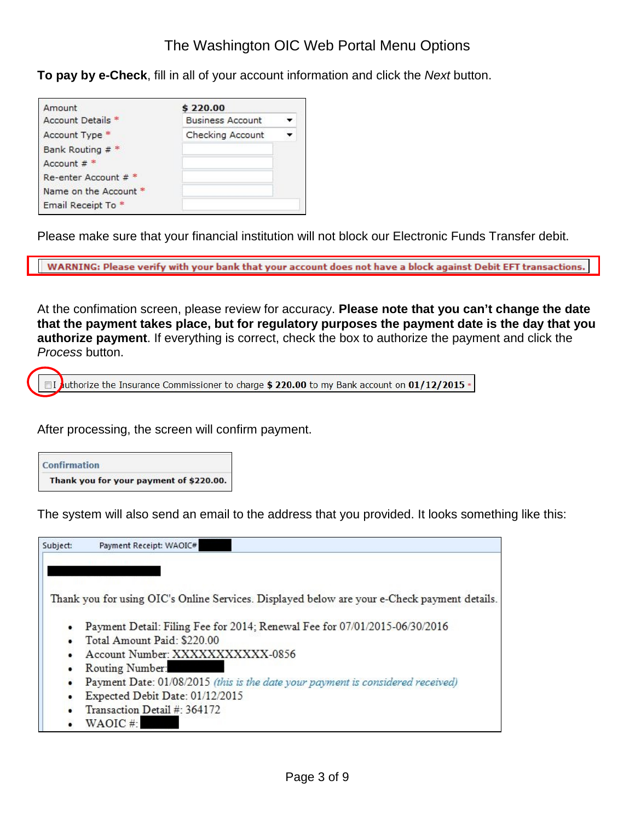<span id="page-2-0"></span>**To pay by e-Check**, fill in all of your account information and click the *Next* button.

| Amount                | \$220.00                |  |
|-----------------------|-------------------------|--|
| Account Details *     | <b>Business Account</b> |  |
| Account Type *        | Checking Account        |  |
| Bank Routing $#$      |                         |  |
| Account $#$ *         |                         |  |
| Re-enter Account # *  |                         |  |
| Name on the Account * |                         |  |
| Email Receipt To *    |                         |  |

Please make sure that your financial institution will not block our Electronic Funds Transfer debit.

WARNING: Please verify with your bank that your account does not have a block against Debit EFT transactions.

At the confimation screen, please review for accuracy. **Please note that you can't change the date that the payment takes place, but for regulatory purposes the payment date is the day that you authorize payment**. If everything is correct, check the box to authorize the payment and click the *Process* button.

 $\Box$  I juthorize the Insurance Commissioner to charge \$ 220.00 to my Bank account on 01/12/2015 .

After processing, the screen will confirm payment.

#### **Confirmation** Thank you for your payment of \$220.00.

The system will also send an email to the address that you provided. It looks something like this:

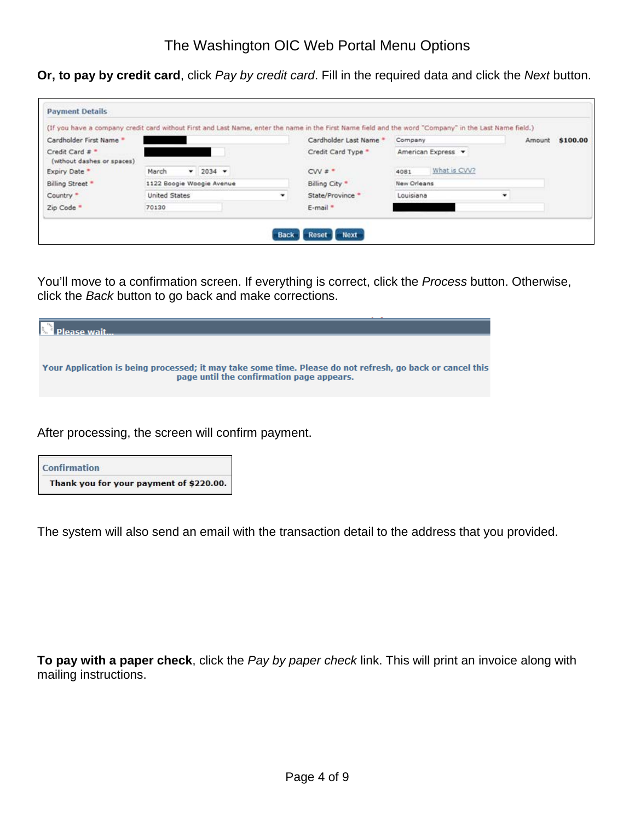<span id="page-3-0"></span>**Or, to pay by credit card**, click *Pay by credit card*. Fill in the required data and click the *Next* button.

|                                               |                           |           |   | (If you have a company credit card without First and Last Name, enter the name in the First Name field and the word "Company" in the Last Name field.) |             |                    |        |          |
|-----------------------------------------------|---------------------------|-----------|---|--------------------------------------------------------------------------------------------------------------------------------------------------------|-------------|--------------------|--------|----------|
| Cardholder First Name *                       |                           |           |   | Cardholder Last Name *                                                                                                                                 | Company.    |                    | Amount | \$100.00 |
| Credit Card # *<br>(without dashes or spaces) |                           |           |   | Credit Card Type *                                                                                                                                     |             | American Express v |        |          |
| Expiry Date *                                 | March                     | $-2034 -$ |   | $CVV$ $\bar{x}$ $*$                                                                                                                                    | 4081        | What is CVV?       |        |          |
| Billing Street *                              | 1122 Boogie Woogie Avenue |           |   | Billing City *                                                                                                                                         | New Orleans |                    |        |          |
| Country *                                     | United States             |           | ۰ | State/Province *                                                                                                                                       | Louisiana   |                    | ٠      |          |
| Zip Code *                                    | 70130                     |           |   | E-mail *                                                                                                                                               |             |                    |        |          |

You'll move to a confirmation screen. If everything is correct, click the *Process* button. Otherwise, click the *Back* button to go back and make corrections.

| Please wait                                                                                                                                            |
|--------------------------------------------------------------------------------------------------------------------------------------------------------|
| Your Application is being processed; it may take some time. Please do not refresh, go back or cancel this<br>page until the confirmation page appears. |
|                                                                                                                                                        |

After processing, the screen will confirm payment.

| <b>Confirmation</b>                     |
|-----------------------------------------|
| Thank you for your payment of \$220.00. |

The system will also send an email with the transaction detail to the address that you provided.

<span id="page-3-1"></span>**To pay with a paper check**, click the *Pay by paper check* link. This will print an invoice along with mailing instructions.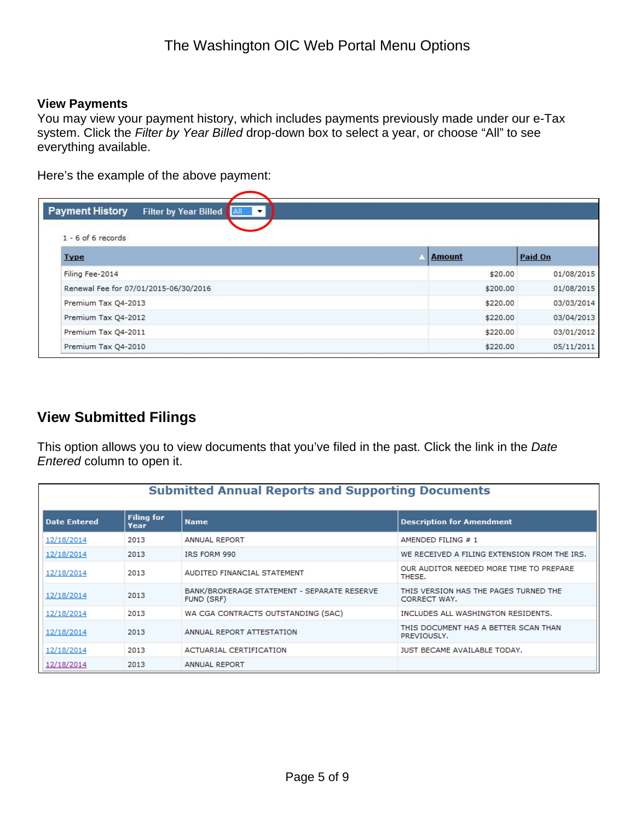#### <span id="page-4-0"></span>**View Payments**

You may view your payment history, which includes payments previously made under our e-Tax system. Click the *Filter by Year Billed* drop-down box to select a year, or choose "All" to see everything available.

Here's the example of the above payment:

| <b>Payment History</b>                | Filter by Year Billed<br>$\blacktriangledown$ |               |            |
|---------------------------------------|-----------------------------------------------|---------------|------------|
| $1 - 6$ of 6 records                  |                                               |               |            |
| <b>Type</b>                           |                                               | <b>Amount</b> | Paid On    |
| Filing Fee-2014                       |                                               | \$20.00       | 01/08/2015 |
| Renewal Fee for 07/01/2015-06/30/2016 |                                               | \$200.00      | 01/08/2015 |
| Premium Tax Q4-2013                   |                                               | \$220.00      | 03/03/2014 |
| Premium Tax Q4-2012                   |                                               | \$220.00      | 03/04/2013 |
| Premium Tax Q4-2011                   |                                               | \$220.00      | 03/01/2012 |
| Premium Tax Q4-2010                   |                                               | \$220.00      | 05/11/2011 |

### <span id="page-4-1"></span>**View Submitted Filings**

This option allows you to view documents that you've filed in the past. Click the link in the *Date Entered* column to open it.

<span id="page-4-2"></span>

| <b>Submitted Annual Reports and Supporting Documents</b> |                           |                                                           |                                                       |  |  |
|----------------------------------------------------------|---------------------------|-----------------------------------------------------------|-------------------------------------------------------|--|--|
| Date Entered                                             | <b>Filing for</b><br>Year | <b>Name</b>                                               | <b>Description for Amendment</b>                      |  |  |
| 12/18/2014                                               | 2013                      | <b>ANNUAL REPORT</b>                                      | AMENDED FILING #1                                     |  |  |
| 12/18/2014                                               | 2013                      | IRS FORM 990                                              | WE RECEIVED A FILING EXTENSION FROM THE IRS.          |  |  |
| 12/18/2014                                               | 2013                      | AUDITED FINANCIAL STATEMENT                               | OUR AUDITOR NEEDED MORE TIME TO PREPARE<br>THESE.     |  |  |
| 12/18/2014                                               | 2013                      | BANK/BROKERAGE STATEMENT - SEPARATE RESERVE<br>FUND (SRF) | THIS VERSION HAS THE PAGES TURNED THE<br>CORRECT WAY. |  |  |
| 12/18/2014                                               | 2013                      | WA CGA CONTRACTS OUTSTANDING (SAC)                        | INCLUDES ALL WASHINGTON RESIDENTS.                    |  |  |
| 12/18/2014                                               | 2013                      | ANNUAL REPORT ATTESTATION                                 | THIS DOCUMENT HAS A BETTER SCAN THAN<br>PREVIOUSLY.   |  |  |
| 12/18/2014                                               | 2013                      | <b>ACTUARIAL CERTIFICATION</b>                            | JUST BECAME AVAILABLE TODAY.                          |  |  |
| 12/18/2014                                               | 2013                      | <b>ANNUAL REPORT</b>                                      |                                                       |  |  |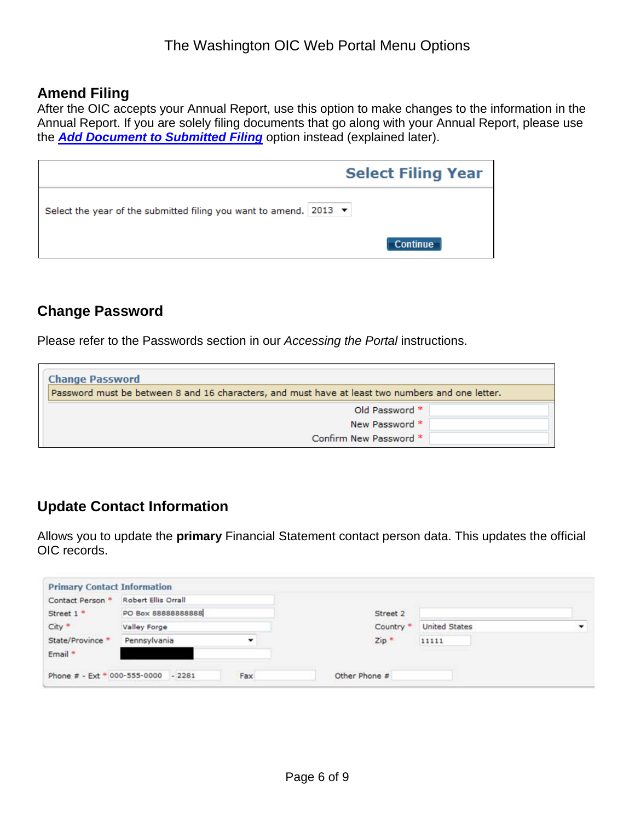### **Amend Filing**

After the OIC accepts your Annual Report, use this option to make changes to the information in the Annual Report. If you are solely filing documents that go along with your Annual Report, please use the *[Add Document to Submitted Filing](#page-0-1)* option instead (explained later).

|                                                                                      | <b>Select Filing Year</b> |
|--------------------------------------------------------------------------------------|---------------------------|
| Select the year of the submitted filing you want to amend. 2013 $\blacktriangledown$ |                           |
|                                                                                      | <b>Continue</b>           |

# <span id="page-5-0"></span>**Change Password**

Please refer to the Passwords section in our *Accessing the Portal* instructions.

| <b>Change Password</b>                                                                           |
|--------------------------------------------------------------------------------------------------|
| Password must be between 8 and 16 characters, and must have at least two numbers and one letter. |
| Old Password *                                                                                   |
| New Password *                                                                                   |
| Confirm New Password *                                                                           |

# <span id="page-5-1"></span>**Update Contact Information**

Allows you to update the **primary** Financial Statement contact person data. This updates the official OIC records.

<span id="page-5-2"></span>

| Contact Person *      | Robert Ellis Orrall                 |     |               |                      |  |
|-----------------------|-------------------------------------|-----|---------------|----------------------|--|
| Street 1 <sup>*</sup> | PO Box 88888888888                  |     | Street 2      |                      |  |
| City *                | Valley Forge                        |     | Country *     | <b>United States</b> |  |
| State/Province *      | Pennsylvania                        | ۰   | $Zip =$       | 11111                |  |
| Email *               |                                     |     |               |                      |  |
|                       | Phone # - Ext * 000-555-0000 - 2281 | Fax | Other Phone # |                      |  |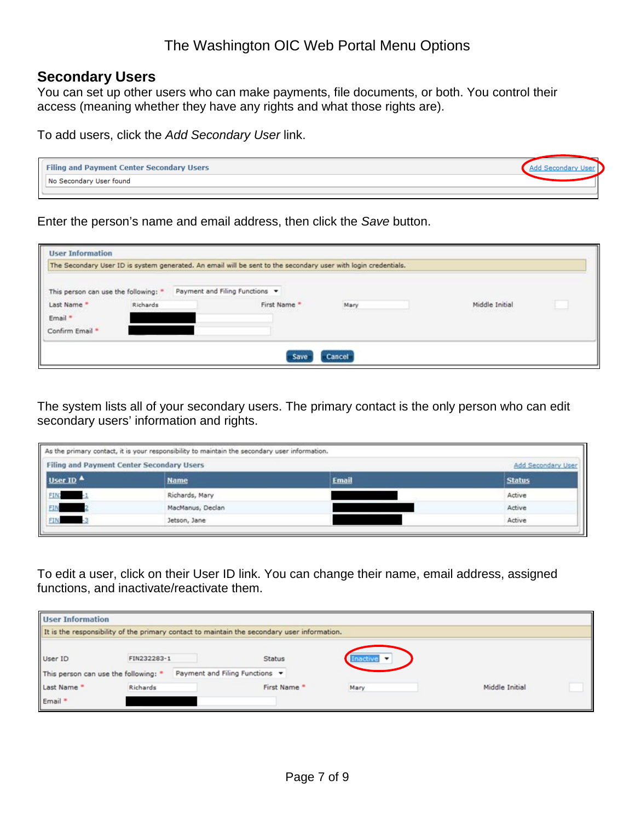### The Washington OIC Web Portal Menu Options

#### **Secondary Users**

You can set up other users who can make payments, file documents, or both. You control their access (meaning whether they have any rights and what those rights are).

To add users, click the *Add Secondary User* link.



Enter the person's name and email address, then click the *Save* button.

| <b>User Information</b><br>The Secondary User ID is system generated. An email will be sent to the secondary user with login credentials. |          |                                |              |        |                                          |  |
|-------------------------------------------------------------------------------------------------------------------------------------------|----------|--------------------------------|--------------|--------|------------------------------------------|--|
| This person can use the following: *                                                                                                      |          | Payment and Filing Functions v |              |        |                                          |  |
| Last Name                                                                                                                                 | Richards |                                | First Name * | Mary   | Middle Initial<br>,,,,,,,,,,,,,,,,,,,,,, |  |
| Email *                                                                                                                                   |          |                                |              |        |                                          |  |
| Confirm Email *                                                                                                                           |          |                                |              |        |                                          |  |
|                                                                                                                                           |          |                                | Save         | Cancel |                                          |  |

The system lists all of your secondary users. The primary contact is the only person who can edit secondary users' information and rights.

| Filing and Payment Center Secondary Users<br>Add Secondary User |                  |              |               |  |
|-----------------------------------------------------------------|------------------|--------------|---------------|--|
| User ID<br>FIN<br>FIN<br>FIN                                    | <b>Name</b>      | <b>Email</b> | <b>Status</b> |  |
|                                                                 | Richards, Mary   |              | Active        |  |
|                                                                 | MacManus, Declan |              | Active        |  |
|                                                                 | Jetson, Jane     |              | Active        |  |

To edit a user, click on their User ID link. You can change their name, email address, assigned functions, and inactivate/reactivate them.

| <b>User Information</b>                                                                     |             |                                |      |                |  |  |
|---------------------------------------------------------------------------------------------|-------------|--------------------------------|------|----------------|--|--|
| It is the responsibility of the primary contact to maintain the secondary user information. |             |                                |      |                |  |  |
| User ID                                                                                     | FIN232283-1 | <b>Status</b>                  |      |                |  |  |
| This person can use the following: *                                                        |             | Payment and Filing Functions + |      |                |  |  |
| Last Name *                                                                                 | Richards    | First Name *                   | Mary | Middle Initial |  |  |
| Email *                                                                                     |             |                                |      |                |  |  |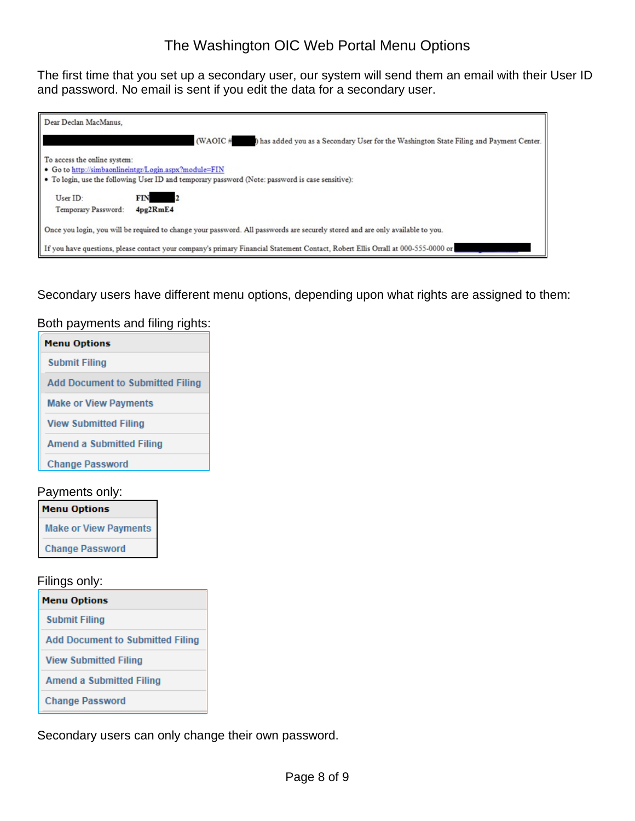### The Washington OIC Web Portal Menu Options

The first time that you set up a secondary user, our system will send them an email with their User ID and password. No email is sent if you edit the data for a secondary user.

| Dear Declan MacManus,                                                                                                                                                                       |  |  |  |  |
|---------------------------------------------------------------------------------------------------------------------------------------------------------------------------------------------|--|--|--|--|
| $(WAOIC \#$<br>) has added you as a Secondary User for the Washington State Filing and Payment Center.                                                                                      |  |  |  |  |
| To access the online system:<br>• Go to http://simbaonlineintgr/Login.aspx?module=FIN<br>  • To login, use the following User ID and temporary password (Note: password is case sensitive): |  |  |  |  |
| User ID:<br>FIN<br>$\sim$ 2<br>Temporary Password:<br>4pg2RmE4                                                                                                                              |  |  |  |  |
| Once you login, you will be required to change your password. All passwords are securely stored and are only available to you.                                                              |  |  |  |  |
| If you have questions, please contact your company's primary Financial Statement Contact, Robert Ellis Orrall at 000-555-0000 or                                                            |  |  |  |  |

Secondary users have different menu options, depending upon what rights are assigned to them:

#### Both payments and filing rights:

| Menu Options                            |
|-----------------------------------------|
| <b>Submit Filing</b>                    |
| <b>Add Document to Submitted Filing</b> |
| <b>Make or View Payments</b>            |
| <b>View Submitted Filing</b>            |
| Amend a Submitted Filing                |
| <b>Change Password</b>                  |
|                                         |

#### Payments only:

| <b>Menu Options</b>          |  |  |
|------------------------------|--|--|
| <b>Make or View Payments</b> |  |  |
| <b>Change Password</b>       |  |  |

#### Filings only:

| <b>Menu Options</b>                     |
|-----------------------------------------|
| <b>Submit Filing</b>                    |
| <b>Add Document to Submitted Filing</b> |
| <b>View Submitted Filing</b>            |
| <b>Amend a Submitted Filing</b>         |
| <b>Change Password</b>                  |

Secondary users can only change their own password.